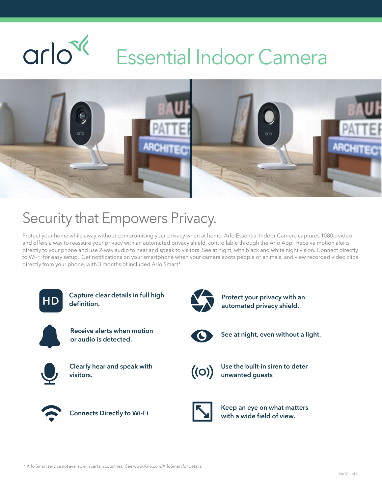### $\alpha$ rlo<sup> $\alpha$ </sup> Essential Indoor Camera



## Security that Empowers Privacy.

Protect your home while away without compromising your privacy when at home. Arlo Essential Indoor Camera captures 1080p video and offers a way to reassure your privacy with an automated privacy shield, controllable through the Arlo App. Receive motion alerts directly to your phone and use 2-way audio to hear and speak to visitors. See at night, with black and white night vision. Connect directly to Wi-Fi for easy setup. Get notifications on your smartphone when your camera spots people or animals, and view recorded video clips directly from your phone, with 3 months of included Arlo Smart\*.



Capture clear details in full high definition.



Receive alerts when motion or audio is detected.



Clearly hear and speak with visitors.



Connects Directly to Wi-Fi



Protect your privacy with an automated privacy shield.



See at night, even without a light.



Use the built-in siren to deter unwanted guests



Keep an eye on what matters with a wide field of view.